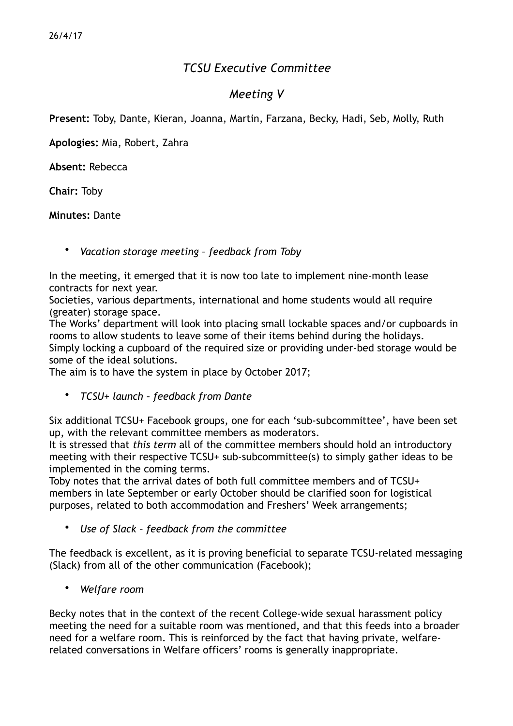## *TCSU Executive Committee*

## *Meeting V*

**Present:** Toby, Dante, Kieran, Joanna, Martin, Farzana, Becky, Hadi, Seb, Molly, Ruth

**Apologies:** Mia, Robert, Zahra

**Absent:** Rebecca

**Chair:** Toby

**Minutes:** Dante

• *Vacation storage meeting – feedback from Toby* 

In the meeting, it emerged that it is now too late to implement nine-month lease contracts for next year.

Societies, various departments, international and home students would all require (greater) storage space.

The Works' department will look into placing small lockable spaces and/or cupboards in rooms to allow students to leave some of their items behind during the holidays. Simply locking a cupboard of the required size or providing under-bed storage would be some of the ideal solutions.

The aim is to have the system in place by October 2017;

• *TCSU+ launch – feedback from Dante* 

Six additional TCSU+ Facebook groups, one for each 'sub-subcommittee', have been set up, with the relevant committee members as moderators.

It is stressed that *this term* all of the committee members should hold an introductory meeting with their respective TCSU+ sub-subcommittee(s) to simply gather ideas to be implemented in the coming terms.

Toby notes that the arrival dates of both full committee members and of TCSU+ members in late September or early October should be clarified soon for logistical purposes, related to both accommodation and Freshers' Week arrangements;

• *Use of Slack – feedback from the committee* 

The feedback is excellent, as it is proving beneficial to separate TCSU-related messaging (Slack) from all of the other communication (Facebook);

• *Welfare room* 

Becky notes that in the context of the recent College-wide sexual harassment policy meeting the need for a suitable room was mentioned, and that this feeds into a broader need for a welfare room. This is reinforced by the fact that having private, welfarerelated conversations in Welfare officers' rooms is generally inappropriate.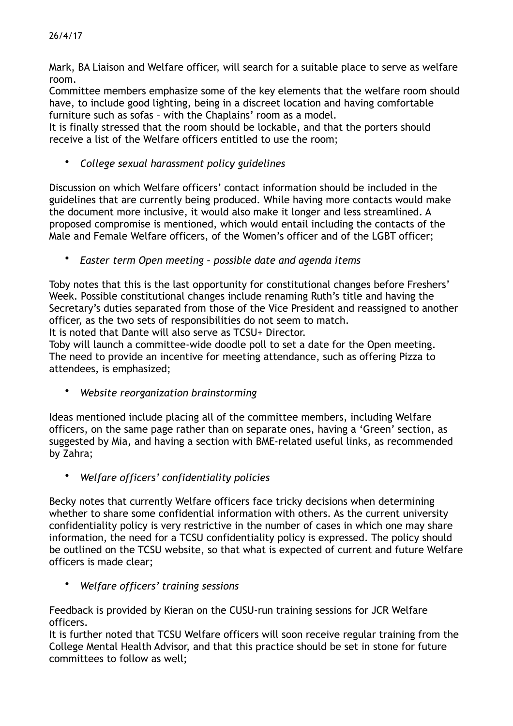Mark, BA Liaison and Welfare officer, will search for a suitable place to serve as welfare room.

Committee members emphasize some of the key elements that the welfare room should have, to include good lighting, being in a discreet location and having comfortable furniture such as sofas – with the Chaplains' room as a model.

It is finally stressed that the room should be lockable, and that the porters should receive a list of the Welfare officers entitled to use the room;

• *College sexual harassment policy guidelines* 

Discussion on which Welfare officers' contact information should be included in the guidelines that are currently being produced. While having more contacts would make the document more inclusive, it would also make it longer and less streamlined. A proposed compromise is mentioned, which would entail including the contacts of the Male and Female Welfare officers, of the Women's officer and of the LGBT officer;

• *Easter term Open meeting – possible date and agenda items* 

Toby notes that this is the last opportunity for constitutional changes before Freshers' Week. Possible constitutional changes include renaming Ruth's title and having the Secretary's duties separated from those of the Vice President and reassigned to another officer, as the two sets of responsibilities do not seem to match.

It is noted that Dante will also serve as TCSU+ Director.

Toby will launch a committee-wide doodle poll to set a date for the Open meeting. The need to provide an incentive for meeting attendance, such as offering Pizza to attendees, is emphasized;

• *Website reorganization brainstorming* 

Ideas mentioned include placing all of the committee members, including Welfare officers, on the same page rather than on separate ones, having a 'Green' section, as suggested by Mia, and having a section with BME-related useful links, as recommended by Zahra;

• *Welfare officers' confidentiality policies* 

Becky notes that currently Welfare officers face tricky decisions when determining whether to share some confidential information with others. As the current university confidentiality policy is very restrictive in the number of cases in which one may share information, the need for a TCSU confidentiality policy is expressed. The policy should be outlined on the TCSU website, so that what is expected of current and future Welfare officers is made clear;

• *Welfare officers' training sessions* 

Feedback is provided by Kieran on the CUSU-run training sessions for JCR Welfare officers.

It is further noted that TCSU Welfare officers will soon receive regular training from the College Mental Health Advisor, and that this practice should be set in stone for future committees to follow as well;